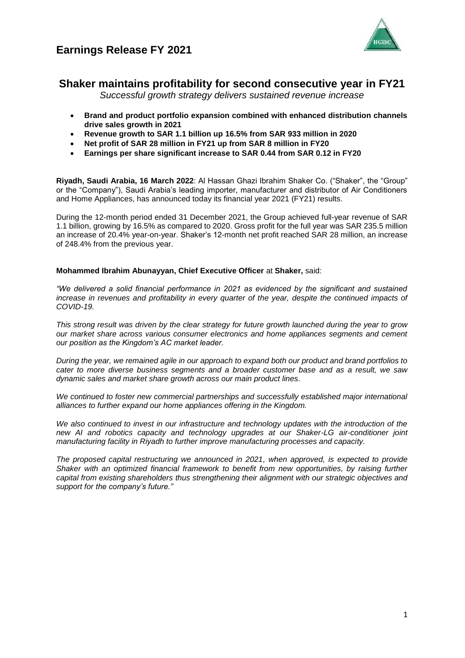



## **Shaker maintains profitability for second consecutive year in FY21**

*Successful growth strategy delivers sustained revenue increase* 

- **Brand and product portfolio expansion combined with enhanced distribution channels drive sales growth in 2021**
- **Revenue growth to SAR 1.1 billion up 16.5% from SAR 933 million in 2020**
- **Net profit of SAR 28 million in FY21 up from SAR 8 million in FY20**
- **Earnings per share significant increase to SAR 0.44 from SAR 0.12 in FY20**

**Riyadh, Saudi Arabia, 16 March 2022**: Al Hassan Ghazi Ibrahim Shaker Co. ("Shaker", the "Group" or the "Company"), Saudi Arabia's leading importer, manufacturer and distributor of Air Conditioners and Home Appliances, has announced today its financial year 2021 (FY21) results.

During the 12-month period ended 31 December 2021, the Group achieved full-year revenue of SAR 1.1 billion, growing by 16.5% as compared to 2020. Gross profit for the full year was SAR 235.5 million an increase of 20.4% year-on-year. Shaker's 12-month net profit reached SAR 28 million, an increase of 248.4% from the previous year.

### **Mohammed Ibrahim Abunayyan, Chief Executive Officer** at **Shaker,** said:

*"We delivered a solid financial performance in 2021 as evidenced by the significant and sustained increase in revenues and profitability in every quarter of the year, despite the continued impacts of COVID-19.* 

*This strong result was driven by the clear strategy for future growth launched during the year to grow our market share across various consumer electronics and home appliances segments and cement our position as the Kingdom's AC market leader.* 

*During the year, we remained agile in our approach to expand both our product and brand portfolios to cater to more diverse business segments and a broader customer base and as a result, we saw dynamic sales and market share growth across our main product lines.* 

*We continued to foster new commercial partnerships and successfully established major international alliances to further expand our home appliances offering in the Kingdom.*

*We also continued to invest in our infrastructure and technology updates with the introduction of the new AI and robotics capacity and technology upgrades at our Shaker-LG air-conditioner joint manufacturing facility in Riyadh to further improve manufacturing processes and capacity.* 

*The proposed capital restructuring we announced in 2021, when approved, is expected to provide Shaker with an optimized financial framework to benefit from new opportunities, by raising further capital from existing shareholders thus strengthening their alignment with our strategic objectives and support for the company's future."*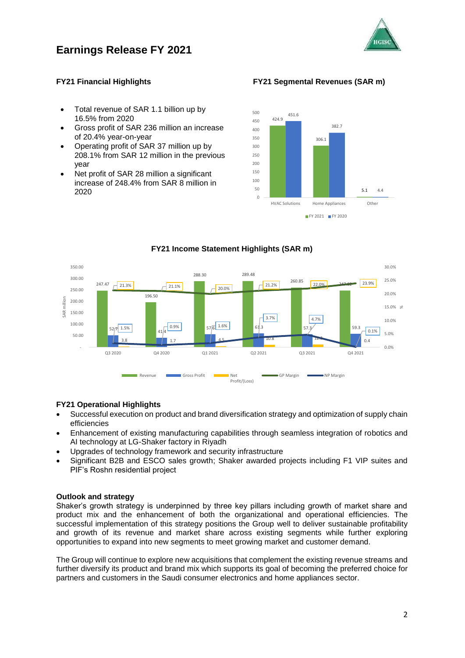



### **FY21 Financial Highlights FY21 Segmental Revenues (SAR m)**

- Total revenue of SAR 1.1 billion up by 16.5% from 2020
- Gross profit of SAR 236 million an increase of 20.4% year-on-year
- Operating profit of SAR 37 million up by 208.1% from SAR 12 million in the previous year
- Net profit of SAR 28 million a significant increase of 248.4% from SAR 8 million in 2020



#### 247.47 196.50 288.30 289.48  $260.85$  22.0%  $71.5%$ 1.5% 1.6% 576  $1.6\%$  61.3 57.3 57.3 59.3 3.8 1.7 1.7 1.7 4.5 1.0.8 1.0.8 1.7 1.0.4 1.0.4 1.0.4 1.0.4 1.0.4 1.0.4 1.0.4 1.0.4 1.0.4 1.0.4 1.0.4 1.0.4 1.0  $21.3\%$  21.1% 20.0%  $\begin{array}{|c|c|c|c|c|c|}\n\hline\n21.2\% & 260.85 & 22.0\% & 247.82 & 23.9\% \hline\n\end{array}$ 3.7% 4.7% 0.1% 0.0% 5.0% 10.0% 15.0% %20.0% 25.0% 30.0% - 50.00 100.00 150.00 200.00 250.00 300.00 350.00 Q3 2020 Q4 2020 Q1 2021 Q2 2021 Q3 2021 Q4 2021 AR million Revenue Gross Profit **Net** Profit/(Loss) GP Margin **Common Section** NP Margin

## **FY21 Income Statement Highlights (SAR m)**

### **FY21 Operational Highlights**

- Successful execution on product and brand diversification strategy and optimization of supply chain efficiencies
- Enhancement of existing manufacturing capabilities through seamless integration of robotics and AI technology at LG-Shaker factory in Riyadh
- Upgrades of technology framework and security infrastructure
- Significant B2B and ESCO sales growth; Shaker awarded projects including F1 VIP suites and PIF's Roshn residential project

#### **Outlook and strategy**

Shaker's growth strategy is underpinned by three key pillars including growth of market share and product mix and the enhancement of both the organizational and operational efficiencies. The successful implementation of this strategy positions the Group well to deliver sustainable profitability and growth of its revenue and market share across existing segments while further exploring opportunities to expand into new segments to meet growing market and customer demand.

The Group will continue to explore new acquisitions that complement the existing revenue streams and further diversify its product and brand mix which supports its goal of becoming the preferred choice for partners and customers in the Saudi consumer electronics and home appliances sector.